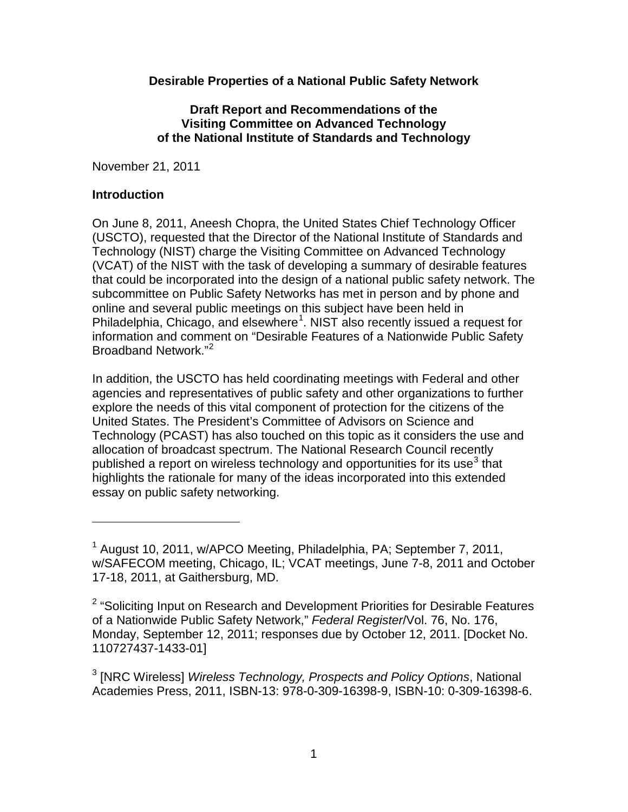### **Desirable Properties of a National Public Safety Network**

#### **Draft Report and Recommendations of the Visiting Committee on Advanced Technology of the National Institute of Standards and Technology**

November 21, 2011

### **Introduction**

 $\overline{a}$ 

On June 8, 2011, Aneesh Chopra, the United States Chief Technology Officer (USCTO), requested that the Director of the National Institute of Standards and Technology (NIST) charge the Visiting Committee on Advanced Technology (VCAT) of the NIST with the task of developing a summary of desirable features that could be incorporated into the design of a national public safety network. The subcommittee on Public Safety Networks has met in person and by phone and online and several public meetings on this subject have been held in Philadelphia, Chicago, and elsewhere<sup>[1](#page-0-0)</sup>. NIST also recently issued a request for information and comment on "Desirable Features of a Nationwide Public Safety Broadband Network<sup>"[2](#page-0-1)</sup>

In addition, the USCTO has held coordinating meetings with Federal and other agencies and representatives of public safety and other organizations to further explore the needs of this vital component of protection for the citizens of the United States. The President's Committee of Advisors on Science and Technology (PCAST) has also touched on this topic as it considers the use and allocation of broadcast spectrum. The National Research Council recently published a report on wireless technology and opportunities for its use<sup>[3](#page-0-2)</sup> that highlights the rationale for many of the ideas incorporated into this extended essay on public safety networking.

<span id="page-0-0"></span><sup>1</sup> August 10, 2011, w/APCO Meeting, Philadelphia, PA; September 7, 2011, w/SAFECOM meeting, Chicago, IL; VCAT meetings, June 7-8, 2011 and October 17-18, 2011, at Gaithersburg, MD.

<span id="page-0-1"></span><sup>&</sup>lt;sup>2</sup> "Soliciting Input on Research and Development Priorities for Desirable Features of a Nationwide Public Safety Network," *Federal Register*/Vol. 76, No. 176, Monday, September 12, 2011; responses due by October 12, 2011. [Docket No. 110727437-1433-01]

<span id="page-0-2"></span><sup>3</sup> [NRC Wireless] *Wireless Technology, Prospects and Policy Options*, National Academies Press, 2011, ISBN-13: 978-0-309-16398-9, ISBN-10: 0-309-16398-6.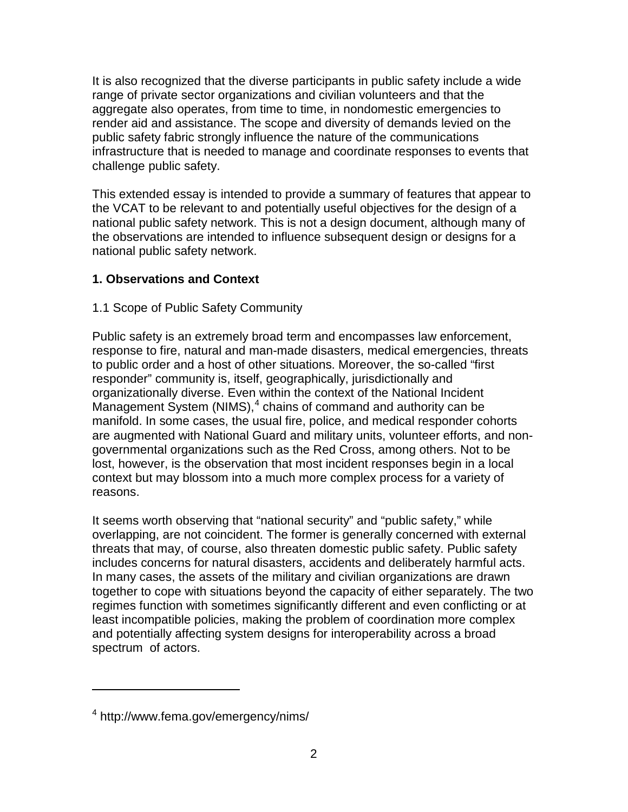It is also recognized that the diverse participants in public safety include a wide range of private sector organizations and civilian volunteers and that the aggregate also operates, from time to time, in nondomestic emergencies to render aid and assistance. The scope and diversity of demands levied on the public safety fabric strongly influence the nature of the communications infrastructure that is needed to manage and coordinate responses to events that challenge public safety.

This extended essay is intended to provide a summary of features that appear to the VCAT to be relevant to and potentially useful objectives for the design of a national public safety network. This is not a design document, although many of the observations are intended to influence subsequent design or designs for a national public safety network.

# **1. Observations and Context**

### 1.1 Scope of Public Safety Community

Public safety is an extremely broad term and encompasses law enforcement, response to fire, natural and man-made disasters, medical emergencies, threats to public order and a host of other situations. Moreover, the so-called "first responder" community is, itself, geographically, jurisdictionally and organizationally diverse. Even within the context of the National Incident Management System (NIMS), $<sup>4</sup>$  $<sup>4</sup>$  $<sup>4</sup>$  chains of command and authority can be</sup> manifold. In some cases, the usual fire, police, and medical responder cohorts are augmented with National Guard and military units, volunteer efforts, and nongovernmental organizations such as the Red Cross, among others. Not to be lost, however, is the observation that most incident responses begin in a local context but may blossom into a much more complex process for a variety of reasons.

It seems worth observing that "national security" and "public safety," while overlapping, are not coincident. The former is generally concerned with external threats that may, of course, also threaten domestic public safety. Public safety includes concerns for natural disasters, accidents and deliberately harmful acts. In many cases, the assets of the military and civilian organizations are drawn together to cope with situations beyond the capacity of either separately. The two regimes function with sometimes significantly different and even conflicting or at least incompatible policies, making the problem of coordination more complex and potentially affecting system designs for interoperability across a broad spectrum of actors.

<span id="page-1-0"></span><sup>4</sup> http://www.fema.gov/emergency/nims/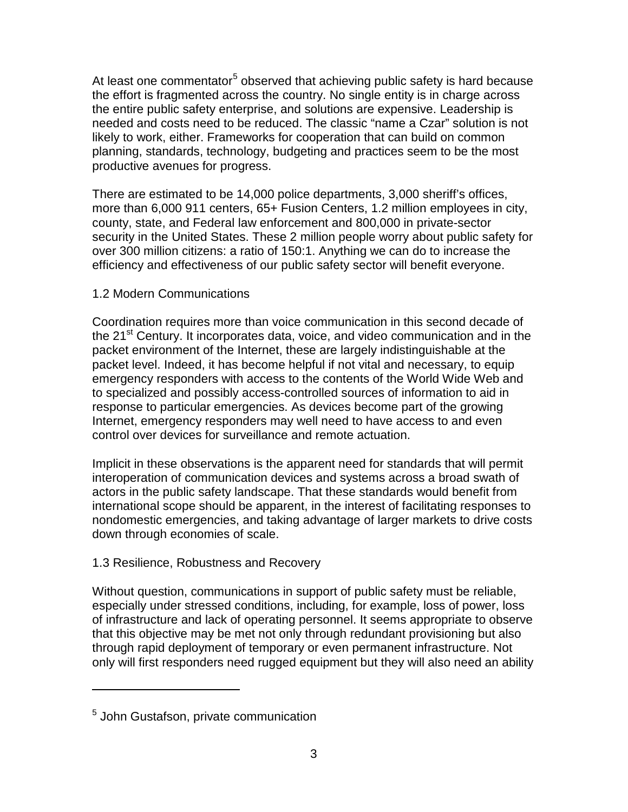At least one commentator<sup>[5](#page-2-0)</sup> observed that achieving public safety is hard because the effort is fragmented across the country. No single entity is in charge across the entire public safety enterprise, and solutions are expensive. Leadership is needed and costs need to be reduced. The classic "name a Czar" solution is not likely to work, either. Frameworks for cooperation that can build on common planning, standards, technology, budgeting and practices seem to be the most productive avenues for progress.

There are estimated to be 14,000 police departments, 3,000 sheriff's offices, more than 6,000 911 centers, 65+ Fusion Centers, 1.2 million employees in city, county, state, and Federal law enforcement and 800,000 in private-sector security in the United States. These 2 million people worry about public safety for over 300 million citizens: a ratio of 150:1. Anything we can do to increase the efficiency and effectiveness of our public safety sector will benefit everyone.

## 1.2 Modern Communications

Coordination requires more than voice communication in this second decade of the 21<sup>st</sup> Century. It incorporates data, voice, and video communication and in the packet environment of the Internet, these are largely indistinguishable at the packet level. Indeed, it has become helpful if not vital and necessary, to equip emergency responders with access to the contents of the World Wide Web and to specialized and possibly access-controlled sources of information to aid in response to particular emergencies. As devices become part of the growing Internet, emergency responders may well need to have access to and even control over devices for surveillance and remote actuation.

Implicit in these observations is the apparent need for standards that will permit interoperation of communication devices and systems across a broad swath of actors in the public safety landscape. That these standards would benefit from international scope should be apparent, in the interest of facilitating responses to nondomestic emergencies, and taking advantage of larger markets to drive costs down through economies of scale.

# 1.3 Resilience, Robustness and Recovery

Without question, communications in support of public safety must be reliable, especially under stressed conditions, including, for example, loss of power, loss of infrastructure and lack of operating personnel. It seems appropriate to observe that this objective may be met not only through redundant provisioning but also through rapid deployment of temporary or even permanent infrastructure. Not only will first responders need rugged equipment but they will also need an ability

<span id="page-2-0"></span><sup>5</sup> John Gustafson, private communication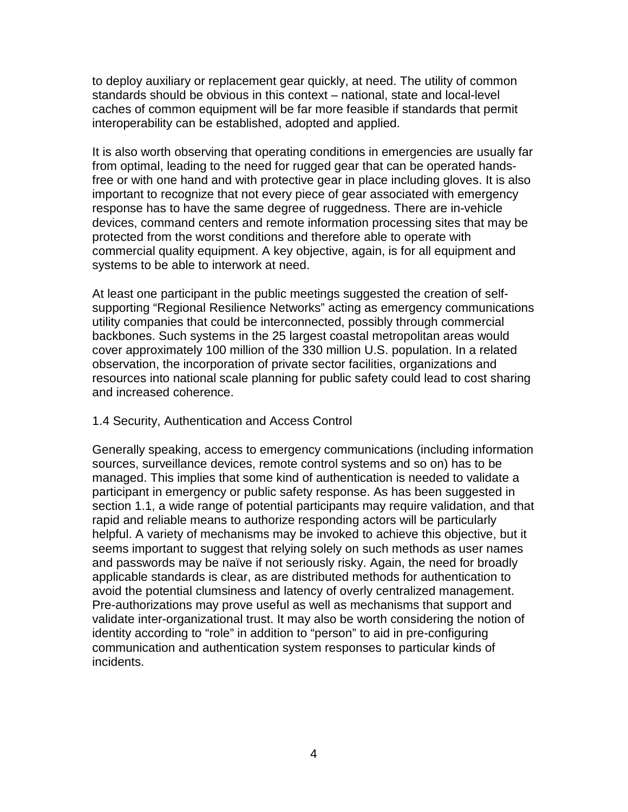to deploy auxiliary or replacement gear quickly, at need. The utility of common standards should be obvious in this context – national, state and local-level caches of common equipment will be far more feasible if standards that permit interoperability can be established, adopted and applied.

It is also worth observing that operating conditions in emergencies are usually far from optimal, leading to the need for rugged gear that can be operated handsfree or with one hand and with protective gear in place including gloves. It is also important to recognize that not every piece of gear associated with emergency response has to have the same degree of ruggedness. There are in-vehicle devices, command centers and remote information processing sites that may be protected from the worst conditions and therefore able to operate with commercial quality equipment. A key objective, again, is for all equipment and systems to be able to interwork at need.

At least one participant in the public meetings suggested the creation of selfsupporting "Regional Resilience Networks" acting as emergency communications utility companies that could be interconnected, possibly through commercial backbones. Such systems in the 25 largest coastal metropolitan areas would cover approximately 100 million of the 330 million U.S. population. In a related observation, the incorporation of private sector facilities, organizations and resources into national scale planning for public safety could lead to cost sharing and increased coherence.

#### 1.4 Security, Authentication and Access Control

Generally speaking, access to emergency communications (including information sources, surveillance devices, remote control systems and so on) has to be managed. This implies that some kind of authentication is needed to validate a participant in emergency or public safety response. As has been suggested in section 1.1, a wide range of potential participants may require validation, and that rapid and reliable means to authorize responding actors will be particularly helpful. A variety of mechanisms may be invoked to achieve this objective, but it seems important to suggest that relying solely on such methods as user names and passwords may be naïve if not seriously risky. Again, the need for broadly applicable standards is clear, as are distributed methods for authentication to avoid the potential clumsiness and latency of overly centralized management. Pre-authorizations may prove useful as well as mechanisms that support and validate inter-organizational trust. It may also be worth considering the notion of identity according to "role" in addition to "person" to aid in pre-configuring communication and authentication system responses to particular kinds of incidents.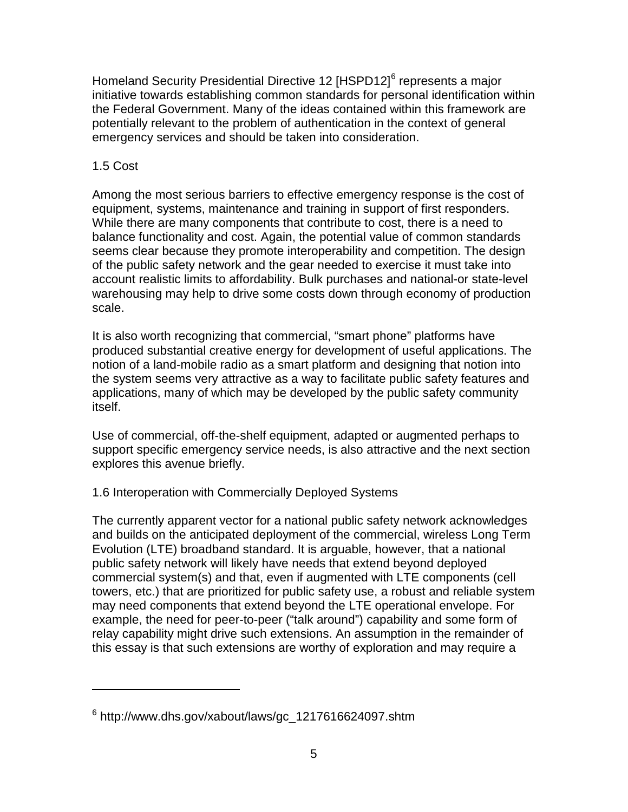Homeland Security Presidential Directive 12 [HSPD12]<sup>[6](#page-4-0)</sup> represents a major initiative towards establishing common standards for personal identification within the Federal Government. Many of the ideas contained within this framework are potentially relevant to the problem of authentication in the context of general emergency services and should be taken into consideration.

## 1.5 Cost

 $\overline{a}$ 

Among the most serious barriers to effective emergency response is the cost of equipment, systems, maintenance and training in support of first responders. While there are many components that contribute to cost, there is a need to balance functionality and cost. Again, the potential value of common standards seems clear because they promote interoperability and competition. The design of the public safety network and the gear needed to exercise it must take into account realistic limits to affordability. Bulk purchases and national-or state-level warehousing may help to drive some costs down through economy of production scale.

It is also worth recognizing that commercial, "smart phone" platforms have produced substantial creative energy for development of useful applications. The notion of a land-mobile radio as a smart platform and designing that notion into the system seems very attractive as a way to facilitate public safety features and applications, many of which may be developed by the public safety community itself.

Use of commercial, off-the-shelf equipment, adapted or augmented perhaps to support specific emergency service needs, is also attractive and the next section explores this avenue briefly.

# 1.6 Interoperation with Commercially Deployed Systems

The currently apparent vector for a national public safety network acknowledges and builds on the anticipated deployment of the commercial, wireless Long Term Evolution (LTE) broadband standard. It is arguable, however, that a national public safety network will likely have needs that extend beyond deployed commercial system(s) and that, even if augmented with LTE components (cell towers, etc.) that are prioritized for public safety use, a robust and reliable system may need components that extend beyond the LTE operational envelope. For example, the need for peer-to-peer ("talk around") capability and some form of relay capability might drive such extensions. An assumption in the remainder of this essay is that such extensions are worthy of exploration and may require a

<span id="page-4-0"></span> $6$  http://www.dhs.gov/xabout/laws/gc\_1217616624097.shtm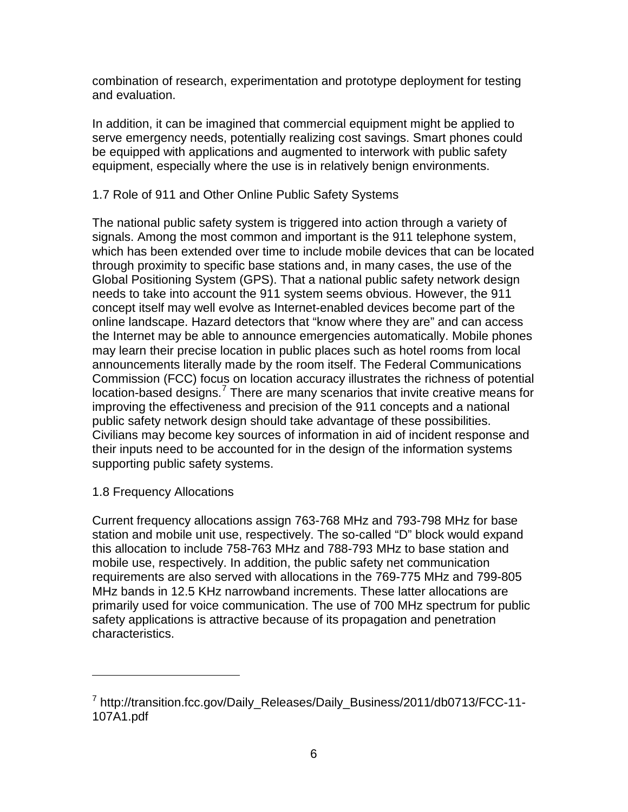combination of research, experimentation and prototype deployment for testing and evaluation.

In addition, it can be imagined that commercial equipment might be applied to serve emergency needs, potentially realizing cost savings. Smart phones could be equipped with applications and augmented to interwork with public safety equipment, especially where the use is in relatively benign environments.

# 1.7 Role of 911 and Other Online Public Safety Systems

The national public safety system is triggered into action through a variety of signals. Among the most common and important is the 911 telephone system, which has been extended over time to include mobile devices that can be located through proximity to specific base stations and, in many cases, the use of the Global Positioning System (GPS). That a national public safety network design needs to take into account the 911 system seems obvious. However, the 911 concept itself may well evolve as Internet-enabled devices become part of the online landscape. Hazard detectors that "know where they are" and can access the Internet may be able to announce emergencies automatically. Mobile phones may learn their precise location in public places such as hotel rooms from local announcements literally made by the room itself. The Federal Communications Commission (FCC) focus on location accuracy illustrates the richness of potential location-based designs.<sup>[7](#page-5-0)</sup> There are many scenarios that invite creative means for improving the effectiveness and precision of the 911 concepts and a national public safety network design should take advantage of these possibilities. Civilians may become key sources of information in aid of incident response and their inputs need to be accounted for in the design of the information systems supporting public safety systems.

### 1.8 Frequency Allocations

 $\overline{a}$ 

Current frequency allocations assign 763-768 MHz and 793-798 MHz for base station and mobile unit use, respectively. The so-called "D" block would expand this allocation to include 758-763 MHz and 788-793 MHz to base station and mobile use, respectively. In addition, the public safety net communication requirements are also served with allocations in the 769-775 MHz and 799-805 MHz bands in 12.5 KHz narrowband increments. These latter allocations are primarily used for voice communication. The use of 700 MHz spectrum for public safety applications is attractive because of its propagation and penetration characteristics.

<span id="page-5-0"></span><sup>&</sup>lt;sup>7</sup> http://transition.fcc.gov/Daily\_Releases/Daily\_Business/2011/db0713/FCC-11-107A1.pdf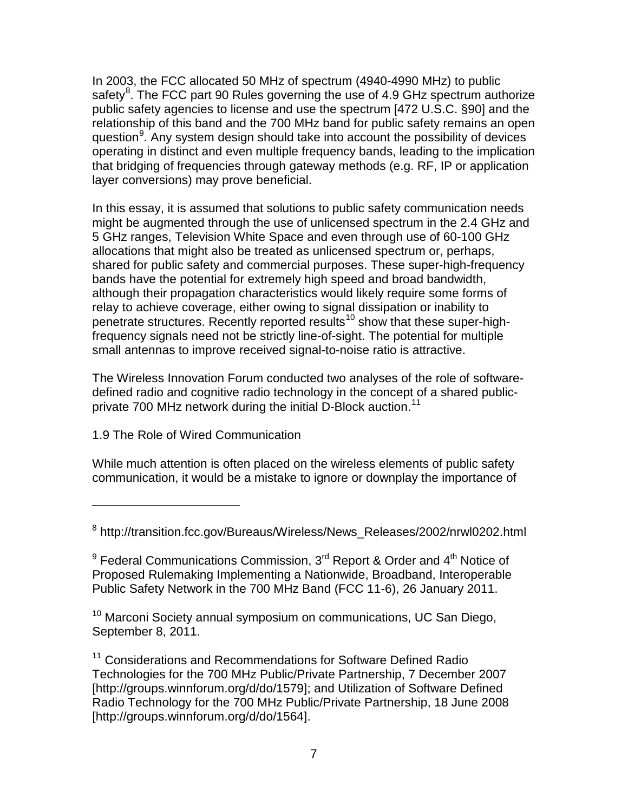In 2003, the FCC allocated 50 MHz of spectrum (4940-4990 MHz) to public safety<sup>[8](#page-6-0)</sup>. The FCC part 90 Rules governing the use of 4.9 GHz spectrum authorize public safety agencies to license and use the spectrum [472 U.S.C. §90] and the relationship of this band and the 700 MHz band for public safety remains an open question<sup>[9](#page-6-1)</sup>. Any system design should take into account the possibility of devices operating in distinct and even multiple frequency bands, leading to the implication that bridging of frequencies through gateway methods (e.g. RF, IP or application layer conversions) may prove beneficial.

In this essay, it is assumed that solutions to public safety communication needs might be augmented through the use of unlicensed spectrum in the 2.4 GHz and 5 GHz ranges, Television White Space and even through use of 60-100 GHz allocations that might also be treated as unlicensed spectrum or, perhaps, shared for public safety and commercial purposes. These super-high-frequency bands have the potential for extremely high speed and broad bandwidth, although their propagation characteristics would likely require some forms of relay to achieve coverage, either owing to signal dissipation or inability to penetrate structures. Recently reported results<sup>[10](#page-6-2)</sup> show that these super-highfrequency signals need not be strictly line-of-sight. The potential for multiple small antennas to improve received signal-to-noise ratio is attractive.

The Wireless Innovation Forum conducted two analyses of the role of softwaredefined radio and cognitive radio technology in the concept of a shared public-private 700 MHz network during the initial D-Block auction.<sup>[11](#page-6-3)</sup>

# 1.9 The Role of Wired Communication

 $\overline{a}$ 

While much attention is often placed on the wireless elements of public safety communication, it would be a mistake to ignore or downplay the importance of

<span id="page-6-2"></span><sup>10</sup> Marconi Society annual symposium on communications, UC San Diego, September 8, 2011.

<span id="page-6-3"></span><sup>11</sup> Considerations and Recommendations for Software Defined Radio Technologies for the 700 MHz Public/Private Partnership, 7 December 2007 [http://groups.winnforum.org/d/do/1579]; and Utilization of Software Defined Radio Technology for the 700 MHz Public/Private Partnership, 18 June 2008 [http://groups.winnforum.org/d/do/1564].

<span id="page-6-0"></span><sup>8</sup> http://transition.fcc.gov/Bureaus/Wireless/News\_Releases/2002/nrwl0202.html

<span id="page-6-1"></span> $9$  Federal Communications Commission, 3<sup>rd</sup> Report & Order and 4<sup>th</sup> Notice of Proposed Rulemaking Implementing a Nationwide, Broadband, Interoperable Public Safety Network in the 700 MHz Band (FCC 11-6), 26 January 2011.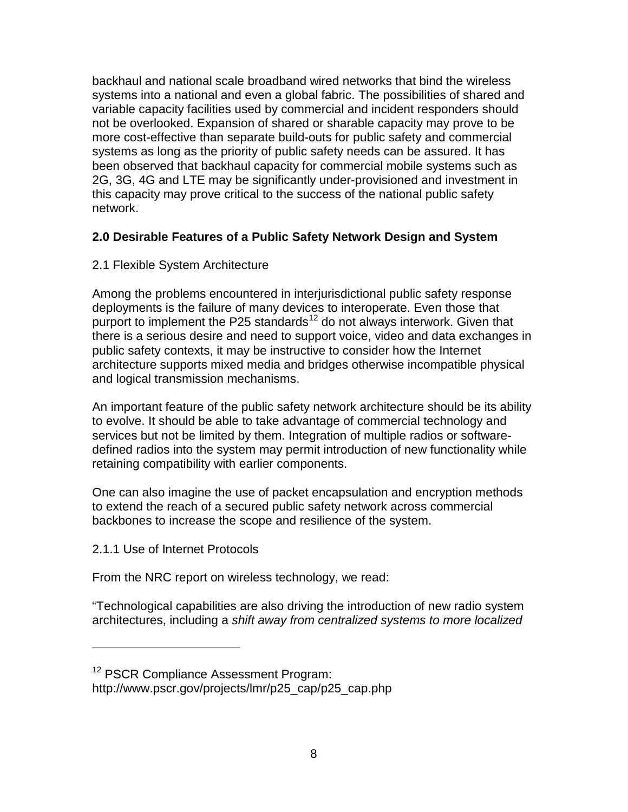backhaul and national scale broadband wired networks that bind the wireless systems into a national and even a global fabric. The possibilities of shared and variable capacity facilities used by commercial and incident responders should not be overlooked. Expansion of shared or sharable capacity may prove to be more cost-effective than separate build-outs for public safety and commercial systems as long as the priority of public safety needs can be assured. It has been observed that backhaul capacity for commercial mobile systems such as 2G, 3G, 4G and LTE may be significantly under-provisioned and investment in this capacity may prove critical to the success of the national public safety network.

## **2.0 Desirable Features of a Public Safety Network Design and System**

2.1 Flexible System Architecture

Among the problems encountered in interjurisdictional public safety response deployments is the failure of many devices to interoperate. Even those that purport to implement the P25 standards<sup>[12](#page-7-0)</sup> do not always interwork. Given that there is a serious desire and need to support voice, video and data exchanges in public safety contexts, it may be instructive to consider how the Internet architecture supports mixed media and bridges otherwise incompatible physical and logical transmission mechanisms.

An important feature of the public safety network architecture should be its ability to evolve. It should be able to take advantage of commercial technology and services but not be limited by them. Integration of multiple radios or softwaredefined radios into the system may permit introduction of new functionality while retaining compatibility with earlier components.

One can also imagine the use of packet encapsulation and encryption methods to extend the reach of a secured public safety network across commercial backbones to increase the scope and resilience of the system.

2.1.1 Use of Internet Protocols

 $\overline{a}$ 

From the NRC report on wireless technology, we read:

"Technological capabilities are also driving the introduction of new radio system architectures, including a *shift away from centralized systems to more localized* 

<span id="page-7-0"></span><sup>&</sup>lt;sup>12</sup> PSCR Compliance Assessment Program:

http://www.pscr.gov/projects/lmr/p25\_cap/p25\_cap.php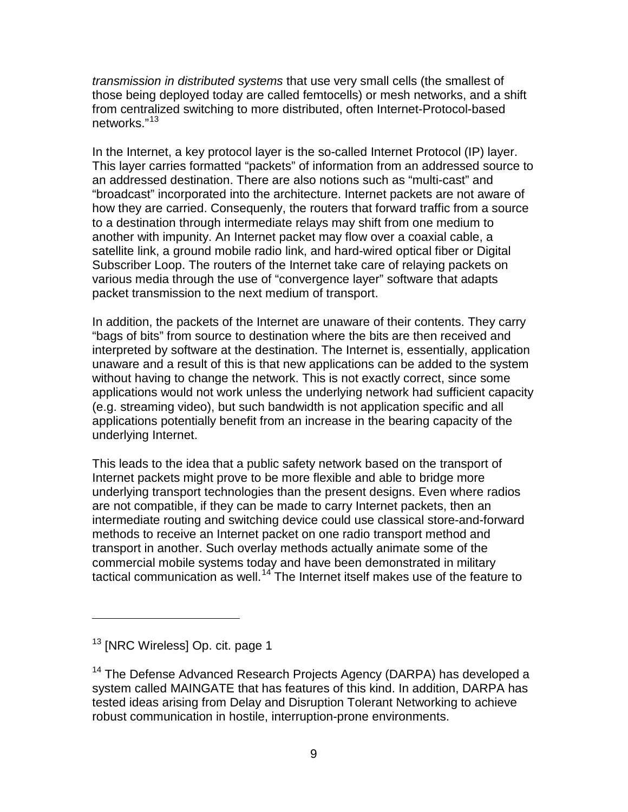*transmission in distributed systems* that use very small cells (the smallest of those being deployed today are called femtocells) or mesh networks, and a shift from centralized switching to more distributed, often Internet-Protocol-based networks."<sup>[13](#page-8-0)</sup>

In the Internet, a key protocol layer is the so-called Internet Protocol (IP) layer. This layer carries formatted "packets" of information from an addressed source to an addressed destination. There are also notions such as "multi-cast" and "broadcast" incorporated into the architecture. Internet packets are not aware of how they are carried. Consequenly, the routers that forward traffic from a source to a destination through intermediate relays may shift from one medium to another with impunity. An Internet packet may flow over a coaxial cable, a satellite link, a ground mobile radio link, and hard-wired optical fiber or Digital Subscriber Loop. The routers of the Internet take care of relaying packets on various media through the use of "convergence layer" software that adapts packet transmission to the next medium of transport.

In addition, the packets of the Internet are unaware of their contents. They carry "bags of bits" from source to destination where the bits are then received and interpreted by software at the destination. The Internet is, essentially, application unaware and a result of this is that new applications can be added to the system without having to change the network. This is not exactly correct, since some applications would not work unless the underlying network had sufficient capacity (e.g. streaming video), but such bandwidth is not application specific and all applications potentially benefit from an increase in the bearing capacity of the underlying Internet.

This leads to the idea that a public safety network based on the transport of Internet packets might prove to be more flexible and able to bridge more underlying transport technologies than the present designs. Even where radios are not compatible, if they can be made to carry Internet packets, then an intermediate routing and switching device could use classical store-and-forward methods to receive an Internet packet on one radio transport method and transport in another. Such overlay methods actually animate some of the commercial mobile systems today and have been demonstrated in military tactical communication as well.<sup>[14](#page-8-1)</sup> The Internet itself makes use of the feature to

<span id="page-8-0"></span><sup>&</sup>lt;sup>13</sup> [NRC Wireless] Op. cit. page 1

<span id="page-8-1"></span><sup>&</sup>lt;sup>14</sup> The Defense Advanced Research Projects Agency (DARPA) has developed a system called MAINGATE that has features of this kind. In addition, DARPA has tested ideas arising from Delay and Disruption Tolerant Networking to achieve robust communication in hostile, interruption-prone environments.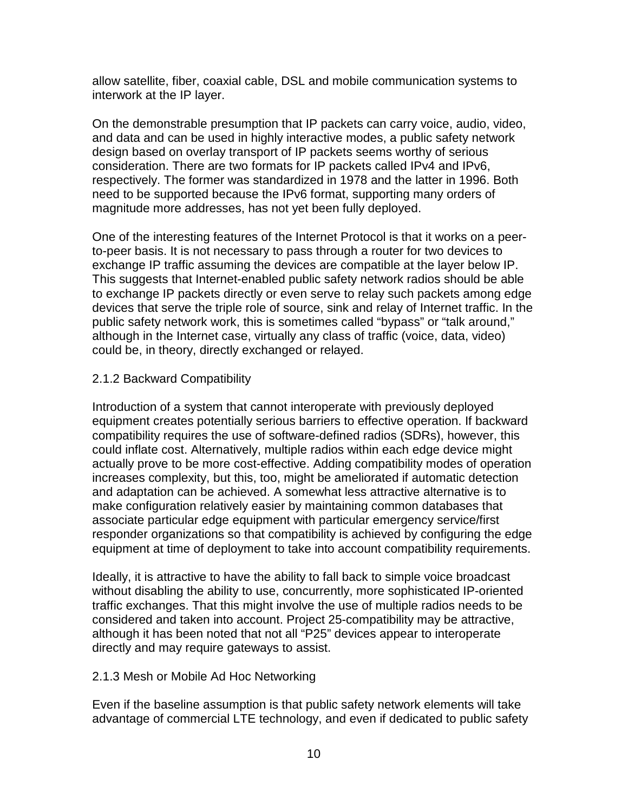allow satellite, fiber, coaxial cable, DSL and mobile communication systems to interwork at the IP layer.

On the demonstrable presumption that IP packets can carry voice, audio, video, and data and can be used in highly interactive modes, a public safety network design based on overlay transport of IP packets seems worthy of serious consideration. There are two formats for IP packets called IPv4 and IPv6, respectively. The former was standardized in 1978 and the latter in 1996. Both need to be supported because the IPv6 format, supporting many orders of magnitude more addresses, has not yet been fully deployed.

One of the interesting features of the Internet Protocol is that it works on a peerto-peer basis. It is not necessary to pass through a router for two devices to exchange IP traffic assuming the devices are compatible at the layer below IP. This suggests that Internet-enabled public safety network radios should be able to exchange IP packets directly or even serve to relay such packets among edge devices that serve the triple role of source, sink and relay of Internet traffic. In the public safety network work, this is sometimes called "bypass" or "talk around," although in the Internet case, virtually any class of traffic (voice, data, video) could be, in theory, directly exchanged or relayed.

### 2.1.2 Backward Compatibility

Introduction of a system that cannot interoperate with previously deployed equipment creates potentially serious barriers to effective operation. If backward compatibility requires the use of software-defined radios (SDRs), however, this could inflate cost. Alternatively, multiple radios within each edge device might actually prove to be more cost-effective. Adding compatibility modes of operation increases complexity, but this, too, might be ameliorated if automatic detection and adaptation can be achieved. A somewhat less attractive alternative is to make configuration relatively easier by maintaining common databases that associate particular edge equipment with particular emergency service/first responder organizations so that compatibility is achieved by configuring the edge equipment at time of deployment to take into account compatibility requirements.

Ideally, it is attractive to have the ability to fall back to simple voice broadcast without disabling the ability to use, concurrently, more sophisticated IP-oriented traffic exchanges. That this might involve the use of multiple radios needs to be considered and taken into account. Project 25-compatibility may be attractive, although it has been noted that not all "P25" devices appear to interoperate directly and may require gateways to assist.

#### 2.1.3 Mesh or Mobile Ad Hoc Networking

Even if the baseline assumption is that public safety network elements will take advantage of commercial LTE technology, and even if dedicated to public safety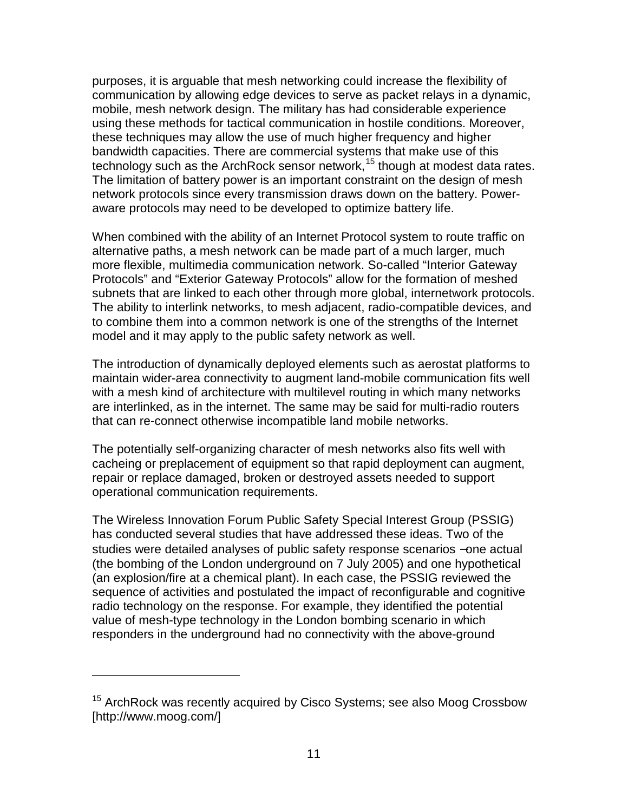purposes, it is arguable that mesh networking could increase the flexibility of communication by allowing edge devices to serve as packet relays in a dynamic, mobile, mesh network design. The military has had considerable experience using these methods for tactical communication in hostile conditions. Moreover, these techniques may allow the use of much higher frequency and higher bandwidth capacities. There are commercial systems that make use of this technology such as the ArchRock sensor network, [15](#page-10-0) though at modest data rates. The limitation of battery power is an important constraint on the design of mesh network protocols since every transmission draws down on the battery. Poweraware protocols may need to be developed to optimize battery life.

When combined with the ability of an Internet Protocol system to route traffic on alternative paths, a mesh network can be made part of a much larger, much more flexible, multimedia communication network. So-called "Interior Gateway Protocols" and "Exterior Gateway Protocols" allow for the formation of meshed subnets that are linked to each other through more global, internetwork protocols. The ability to interlink networks, to mesh adjacent, radio-compatible devices, and to combine them into a common network is one of the strengths of the Internet model and it may apply to the public safety network as well.

The introduction of dynamically deployed elements such as aerostat platforms to maintain wider-area connectivity to augment land-mobile communication fits well with a mesh kind of architecture with multilevel routing in which many networks are interlinked, as in the internet. The same may be said for multi-radio routers that can re-connect otherwise incompatible land mobile networks.

The potentially self-organizing character of mesh networks also fits well with cacheing or preplacement of equipment so that rapid deployment can augment, repair or replace damaged, broken or destroyed assets needed to support operational communication requirements.

The Wireless Innovation Forum Public Safety Special Interest Group (PSSIG) has conducted several studies that have addressed these ideas. Two of the studies were detailed analyses of public safety response scenarios - one actual (the bombing of the London underground on 7 July 2005) and one hypothetical (an explosion/fire at a chemical plant). In each case, the PSSIG reviewed the sequence of activities and postulated the impact of reconfigurable and cognitive radio technology on the response. For example, they identified the potential value of mesh-type technology in the London bombing scenario in which responders in the underground had no connectivity with the above-ground

<span id="page-10-0"></span><sup>&</sup>lt;sup>15</sup> ArchRock was recently acquired by Cisco Systems; see also Moog Crossbow [http://www.moog.com/]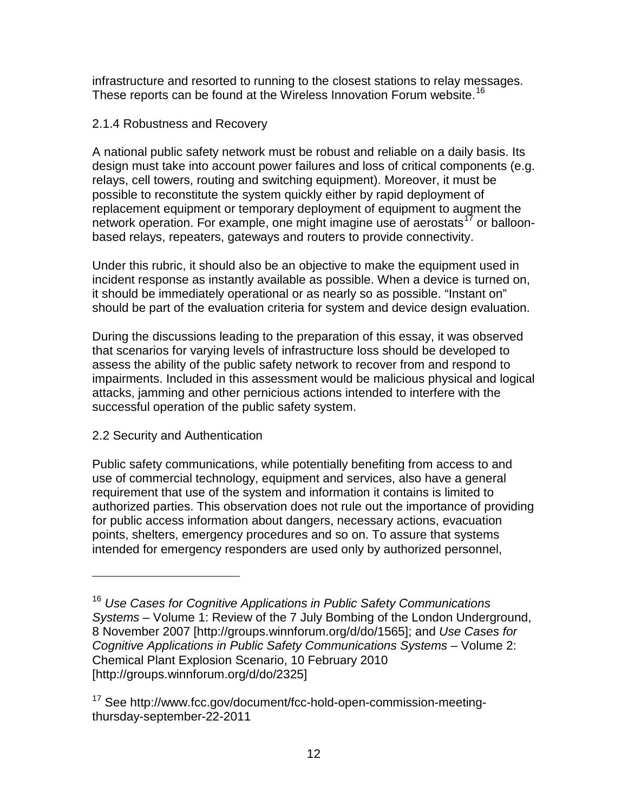infrastructure and resorted to running to the closest stations to relay messages. These reports can be found at the Wireless Innovation Forum website.<sup>[16](#page-11-0)</sup>

## 2.1.4 Robustness and Recovery

A national public safety network must be robust and reliable on a daily basis. Its design must take into account power failures and loss of critical components (e.g. relays, cell towers, routing and switching equipment). Moreover, it must be possible to reconstitute the system quickly either by rapid deployment of replacement equipment or temporary deployment of equipment to augment the network operation. For example, one might imagine use of aerostats<sup>[17](#page-11-1)</sup> or balloonbased relays, repeaters, gateways and routers to provide connectivity.

Under this rubric, it should also be an objective to make the equipment used in incident response as instantly available as possible. When a device is turned on, it should be immediately operational or as nearly so as possible. "Instant on" should be part of the evaluation criteria for system and device design evaluation.

During the discussions leading to the preparation of this essay, it was observed that scenarios for varying levels of infrastructure loss should be developed to assess the ability of the public safety network to recover from and respond to impairments. Included in this assessment would be malicious physical and logical attacks, jamming and other pernicious actions intended to interfere with the successful operation of the public safety system.

# 2.2 Security and Authentication

 $\overline{a}$ 

Public safety communications, while potentially benefiting from access to and use of commercial technology, equipment and services, also have a general requirement that use of the system and information it contains is limited to authorized parties. This observation does not rule out the importance of providing for public access information about dangers, necessary actions, evacuation points, shelters, emergency procedures and so on. To assure that systems intended for emergency responders are used only by authorized personnel,

<span id="page-11-0"></span><sup>16</sup> *Use Cases for Cognitive Applications in Public Safety Communications Systems* – Volume 1: Review of the 7 July Bombing of the London Underground, 8 November 2007 [http://groups.winnforum.org/d/do/1565]; and *Use Cases for Cognitive Applications in Public Safety Communications Systems* – Volume 2: Chemical Plant Explosion Scenario, 10 February 2010 [http://groups.winnforum.org/d/do/2325]

<span id="page-11-1"></span><sup>&</sup>lt;sup>17</sup> See http://www.fcc.gov/document/fcc-hold-open-commission-meetingthursday-september-22-2011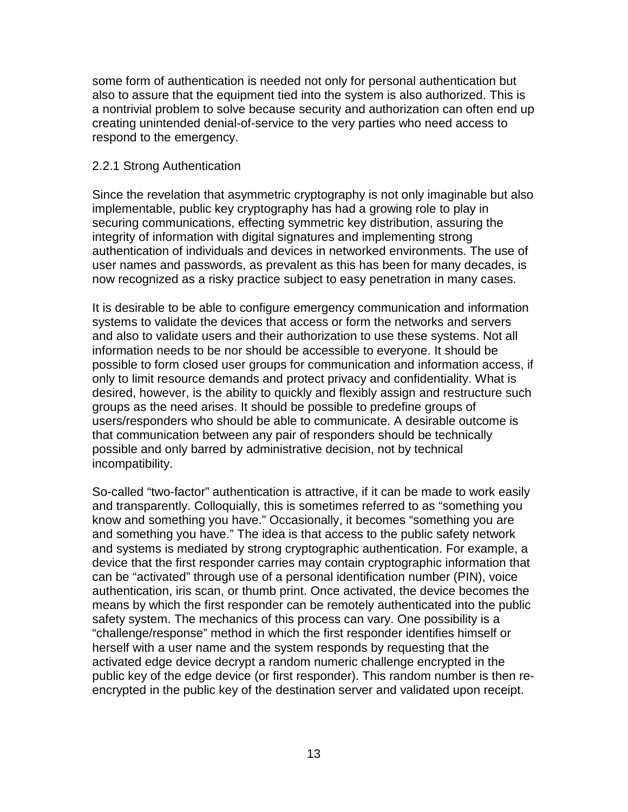some form of authentication is needed not only for personal authentication but also to assure that the equipment tied into the system is also authorized. This is a nontrivial problem to solve because security and authorization can often end up creating unintended denial-of-service to the very parties who need access to respond to the emergency.

#### 2.2.1 Strong Authentication

Since the revelation that asymmetric cryptography is not only imaginable but also implementable, public key cryptography has had a growing role to play in securing communications, effecting symmetric key distribution, assuring the integrity of information with digital signatures and implementing strong authentication of individuals and devices in networked environments. The use of user names and passwords, as prevalent as this has been for many decades, is now recognized as a risky practice subject to easy penetration in many cases.

It is desirable to be able to configure emergency communication and information systems to validate the devices that access or form the networks and servers and also to validate users and their authorization to use these systems. Not all information needs to be nor should be accessible to everyone. It should be possible to form closed user groups for communication and information access, if only to limit resource demands and protect privacy and confidentiality. What is desired, however, is the ability to quickly and flexibly assign and restructure such groups as the need arises. It should be possible to predefine groups of users/responders who should be able to communicate. A desirable outcome is that communication between any pair of responders should be technically possible and only barred by administrative decision, not by technical incompatibility.

So-called "two-factor" authentication is attractive, if it can be made to work easily and transparently. Colloquially, this is sometimes referred to as "something you know and something you have." Occasionally, it becomes "something you are and something you have." The idea is that access to the public safety network and systems is mediated by strong cryptographic authentication. For example, a device that the first responder carries may contain cryptographic information that can be "activated" through use of a personal identification number (PIN), voice authentication, iris scan, or thumb print. Once activated, the device becomes the means by which the first responder can be remotely authenticated into the public safety system. The mechanics of this process can vary. One possibility is a "challenge/response" method in which the first responder identifies himself or herself with a user name and the system responds by requesting that the activated edge device decrypt a random numeric challenge encrypted in the public key of the edge device (or first responder). This random number is then reencrypted in the public key of the destination server and validated upon receipt.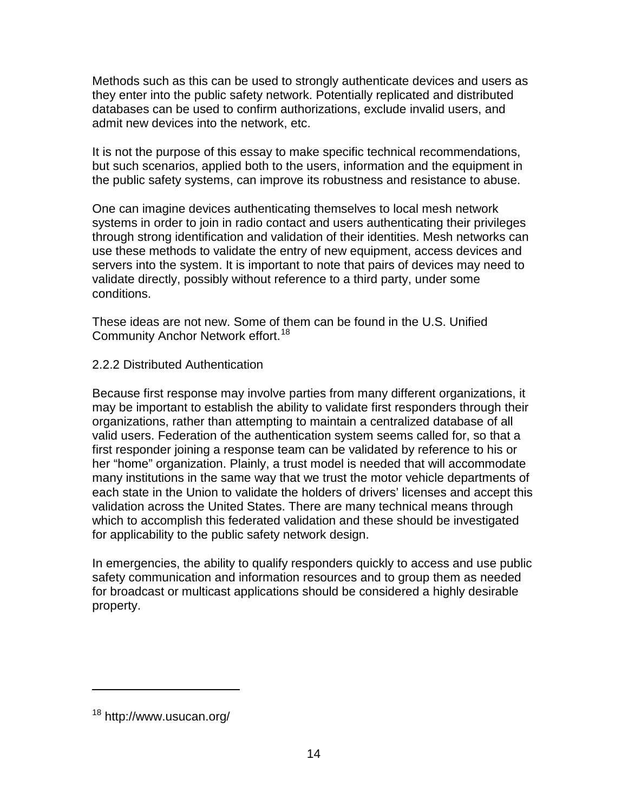Methods such as this can be used to strongly authenticate devices and users as they enter into the public safety network. Potentially replicated and distributed databases can be used to confirm authorizations, exclude invalid users, and admit new devices into the network, etc.

It is not the purpose of this essay to make specific technical recommendations, but such scenarios, applied both to the users, information and the equipment in the public safety systems, can improve its robustness and resistance to abuse.

One can imagine devices authenticating themselves to local mesh network systems in order to join in radio contact and users authenticating their privileges through strong identification and validation of their identities. Mesh networks can use these methods to validate the entry of new equipment, access devices and servers into the system. It is important to note that pairs of devices may need to validate directly, possibly without reference to a third party, under some conditions.

These ideas are not new. Some of them can be found in the U.S. Unified Community Anchor Network effort.<sup>[18](#page-13-0)</sup>

## 2.2.2 Distributed Authentication

Because first response may involve parties from many different organizations, it may be important to establish the ability to validate first responders through their organizations, rather than attempting to maintain a centralized database of all valid users. Federation of the authentication system seems called for, so that a first responder joining a response team can be validated by reference to his or her "home" organization. Plainly, a trust model is needed that will accommodate many institutions in the same way that we trust the motor vehicle departments of each state in the Union to validate the holders of drivers' licenses and accept this validation across the United States. There are many technical means through which to accomplish this federated validation and these should be investigated for applicability to the public safety network design.

In emergencies, the ability to qualify responders quickly to access and use public safety communication and information resources and to group them as needed for broadcast or multicast applications should be considered a highly desirable property.

<span id="page-13-0"></span><sup>18</sup> http://www.usucan.org/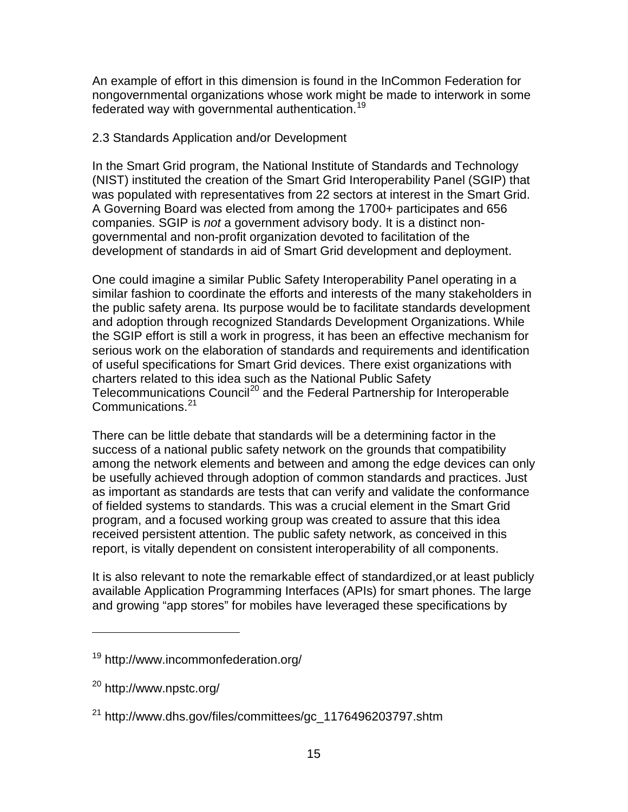An example of effort in this dimension is found in the InCommon Federation for nongovernmental organizations whose work might be made to interwork in some federated way with governmental authentication.<sup>[19](#page-14-0)</sup>

## 2.3 Standards Application and/or Development

In the Smart Grid program, the National Institute of Standards and Technology (NIST) instituted the creation of the Smart Grid Interoperability Panel (SGIP) that was populated with representatives from 22 sectors at interest in the Smart Grid. A Governing Board was elected from among the 1700+ participates and 656 companies. SGIP is *not* a government advisory body. It is a distinct nongovernmental and non-profit organization devoted to facilitation of the development of standards in aid of Smart Grid development and deployment.

One could imagine a similar Public Safety Interoperability Panel operating in a similar fashion to coordinate the efforts and interests of the many stakeholders in the public safety arena. Its purpose would be to facilitate standards development and adoption through recognized Standards Development Organizations. While the SGIP effort is still a work in progress, it has been an effective mechanism for serious work on the elaboration of standards and requirements and identification of useful specifications for Smart Grid devices. There exist organizations with charters related to this idea such as the National Public Safety Telecommunications Council<sup>[20](#page-14-1)</sup> and the Federal Partnership for Interoperable Communications. [21](#page-14-2)

There can be little debate that standards will be a determining factor in the success of a national public safety network on the grounds that compatibility among the network elements and between and among the edge devices can only be usefully achieved through adoption of common standards and practices. Just as important as standards are tests that can verify and validate the conformance of fielded systems to standards. This was a crucial element in the Smart Grid program, and a focused working group was created to assure that this idea received persistent attention. The public safety network, as conceived in this report, is vitally dependent on consistent interoperability of all components.

It is also relevant to note the remarkable effect of standardized,or at least publicly available Application Programming Interfaces (APIs) for smart phones. The large and growing "app stores" for mobiles have leveraged these specifications by

<span id="page-14-0"></span><sup>19</sup> http://www.incommonfederation.org/

<span id="page-14-1"></span><sup>20</sup> http://www.npstc.org/

<span id="page-14-2"></span><sup>21</sup> http://www.dhs.gov/files/committees/gc\_1176496203797.shtm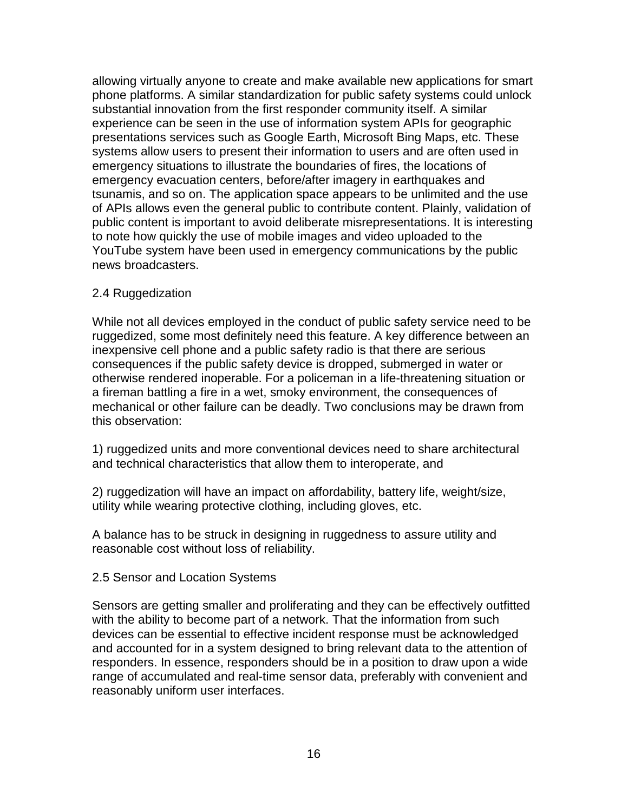allowing virtually anyone to create and make available new applications for smart phone platforms. A similar standardization for public safety systems could unlock substantial innovation from the first responder community itself. A similar experience can be seen in the use of information system APIs for geographic presentations services such as Google Earth, Microsoft Bing Maps, etc. These systems allow users to present their information to users and are often used in emergency situations to illustrate the boundaries of fires, the locations of emergency evacuation centers, before/after imagery in earthquakes and tsunamis, and so on. The application space appears to be unlimited and the use of APIs allows even the general public to contribute content. Plainly, validation of public content is important to avoid deliberate misrepresentations. It is interesting to note how quickly the use of mobile images and video uploaded to the YouTube system have been used in emergency communications by the public news broadcasters.

### 2.4 Ruggedization

While not all devices employed in the conduct of public safety service need to be ruggedized, some most definitely need this feature. A key difference between an inexpensive cell phone and a public safety radio is that there are serious consequences if the public safety device is dropped, submerged in water or otherwise rendered inoperable. For a policeman in a life-threatening situation or a fireman battling a fire in a wet, smoky environment, the consequences of mechanical or other failure can be deadly. Two conclusions may be drawn from this observation:

1) ruggedized units and more conventional devices need to share architectural and technical characteristics that allow them to interoperate, and

2) ruggedization will have an impact on affordability, battery life, weight/size, utility while wearing protective clothing, including gloves, etc.

A balance has to be struck in designing in ruggedness to assure utility and reasonable cost without loss of reliability.

### 2.5 Sensor and Location Systems

Sensors are getting smaller and proliferating and they can be effectively outfitted with the ability to become part of a network. That the information from such devices can be essential to effective incident response must be acknowledged and accounted for in a system designed to bring relevant data to the attention of responders. In essence, responders should be in a position to draw upon a wide range of accumulated and real-time sensor data, preferably with convenient and reasonably uniform user interfaces.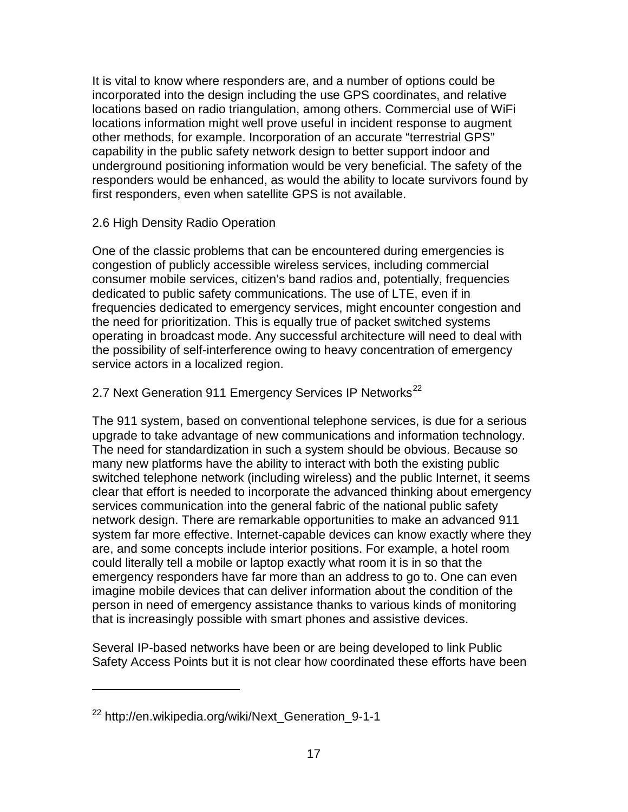It is vital to know where responders are, and a number of options could be incorporated into the design including the use GPS coordinates, and relative locations based on radio triangulation, among others. Commercial use of WiFi locations information might well prove useful in incident response to augment other methods, for example. Incorporation of an accurate "terrestrial GPS" capability in the public safety network design to better support indoor and underground positioning information would be very beneficial. The safety of the responders would be enhanced, as would the ability to locate survivors found by first responders, even when satellite GPS is not available.

## 2.6 High Density Radio Operation

One of the classic problems that can be encountered during emergencies is congestion of publicly accessible wireless services, including commercial consumer mobile services, citizen's band radios and, potentially, frequencies dedicated to public safety communications. The use of LTE, even if in frequencies dedicated to emergency services, might encounter congestion and the need for prioritization. This is equally true of packet switched systems operating in broadcast mode. Any successful architecture will need to deal with the possibility of self-interference owing to heavy concentration of emergency service actors in a localized region.

# 2.7 Next Generation 911 Emergency Services IP Networks<sup>[22](#page-16-0)</sup>

The 911 system, based on conventional telephone services, is due for a serious upgrade to take advantage of new communications and information technology. The need for standardization in such a system should be obvious. Because so many new platforms have the ability to interact with both the existing public switched telephone network (including wireless) and the public Internet, it seems clear that effort is needed to incorporate the advanced thinking about emergency services communication into the general fabric of the national public safety network design. There are remarkable opportunities to make an advanced 911 system far more effective. Internet-capable devices can know exactly where they are, and some concepts include interior positions. For example, a hotel room could literally tell a mobile or laptop exactly what room it is in so that the emergency responders have far more than an address to go to. One can even imagine mobile devices that can deliver information about the condition of the person in need of emergency assistance thanks to various kinds of monitoring that is increasingly possible with smart phones and assistive devices.

Several IP-based networks have been or are being developed to link Public Safety Access Points but it is not clear how coordinated these efforts have been

<span id="page-16-0"></span><sup>22</sup> http://en.wikipedia.org/wiki/Next\_Generation\_9-1-1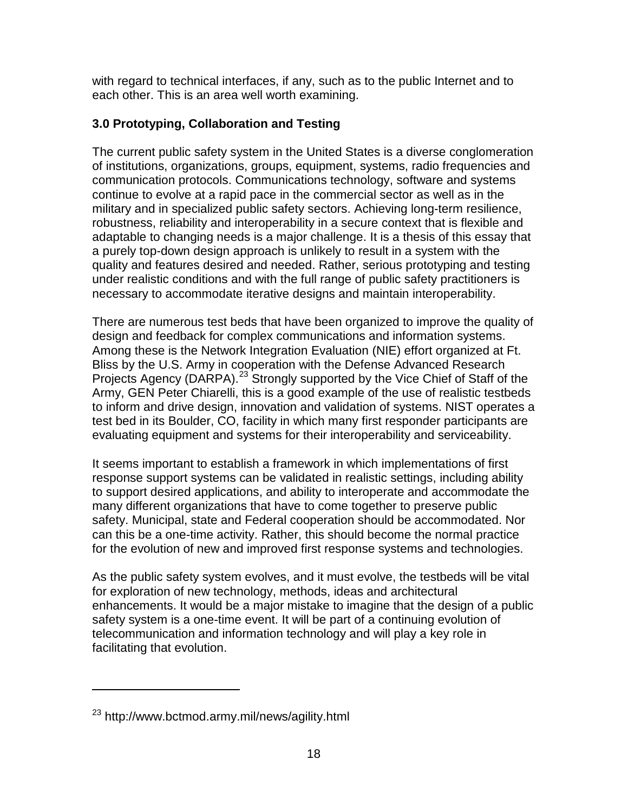with regard to technical interfaces, if any, such as to the public Internet and to each other. This is an area well worth examining.

# **3.0 Prototyping, Collaboration and Testing**

The current public safety system in the United States is a diverse conglomeration of institutions, organizations, groups, equipment, systems, radio frequencies and communication protocols. Communications technology, software and systems continue to evolve at a rapid pace in the commercial sector as well as in the military and in specialized public safety sectors. Achieving long-term resilience, robustness, reliability and interoperability in a secure context that is flexible and adaptable to changing needs is a major challenge. It is a thesis of this essay that a purely top-down design approach is unlikely to result in a system with the quality and features desired and needed. Rather, serious prototyping and testing under realistic conditions and with the full range of public safety practitioners is necessary to accommodate iterative designs and maintain interoperability.

There are numerous test beds that have been organized to improve the quality of design and feedback for complex communications and information systems. Among these is the Network Integration Evaluation (NIE) effort organized at Ft. Bliss by the U.S. Army in cooperation with the Defense Advanced Research Projects Agency (DARPA).<sup>[23](#page-17-0)</sup> Strongly supported by the Vice Chief of Staff of the Army, GEN Peter Chiarelli, this is a good example of the use of realistic testbeds to inform and drive design, innovation and validation of systems. NIST operates a test bed in its Boulder, CO, facility in which many first responder participants are evaluating equipment and systems for their interoperability and serviceability.

It seems important to establish a framework in which implementations of first response support systems can be validated in realistic settings, including ability to support desired applications, and ability to interoperate and accommodate the many different organizations that have to come together to preserve public safety. Municipal, state and Federal cooperation should be accommodated. Nor can this be a one-time activity. Rather, this should become the normal practice for the evolution of new and improved first response systems and technologies.

As the public safety system evolves, and it must evolve, the testbeds will be vital for exploration of new technology, methods, ideas and architectural enhancements. It would be a major mistake to imagine that the design of a public safety system is a one-time event. It will be part of a continuing evolution of telecommunication and information technology and will play a key role in facilitating that evolution.

<span id="page-17-0"></span><sup>23</sup> http://www.bctmod.army.mil/news/agility.html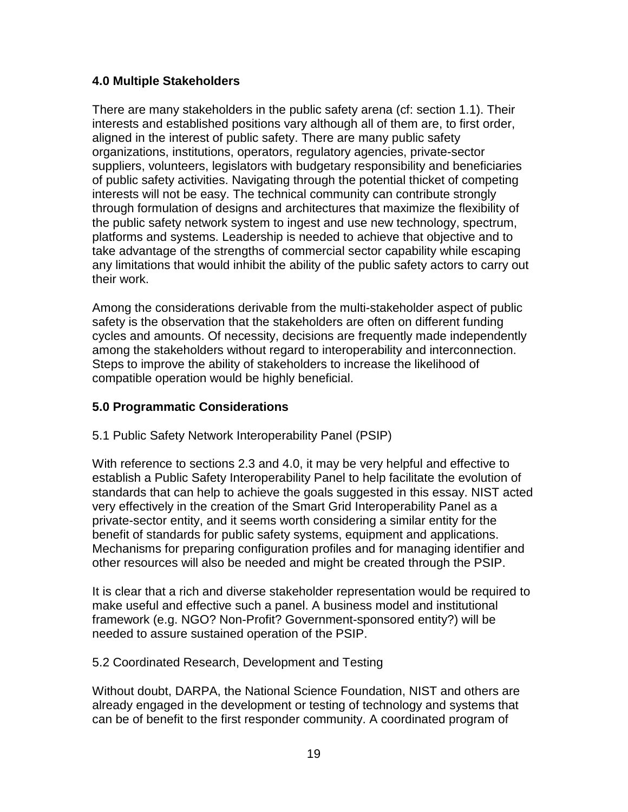## **4.0 Multiple Stakeholders**

There are many stakeholders in the public safety arena (cf: section 1.1). Their interests and established positions vary although all of them are, to first order, aligned in the interest of public safety. There are many public safety organizations, institutions, operators, regulatory agencies, private-sector suppliers, volunteers, legislators with budgetary responsibility and beneficiaries of public safety activities. Navigating through the potential thicket of competing interests will not be easy. The technical community can contribute strongly through formulation of designs and architectures that maximize the flexibility of the public safety network system to ingest and use new technology, spectrum, platforms and systems. Leadership is needed to achieve that objective and to take advantage of the strengths of commercial sector capability while escaping any limitations that would inhibit the ability of the public safety actors to carry out their work.

Among the considerations derivable from the multi-stakeholder aspect of public safety is the observation that the stakeholders are often on different funding cycles and amounts. Of necessity, decisions are frequently made independently among the stakeholders without regard to interoperability and interconnection. Steps to improve the ability of stakeholders to increase the likelihood of compatible operation would be highly beneficial.

# **5.0 Programmatic Considerations**

### 5.1 Public Safety Network Interoperability Panel (PSIP)

With reference to sections 2.3 and 4.0, it may be very helpful and effective to establish a Public Safety Interoperability Panel to help facilitate the evolution of standards that can help to achieve the goals suggested in this essay. NIST acted very effectively in the creation of the Smart Grid Interoperability Panel as a private-sector entity, and it seems worth considering a similar entity for the benefit of standards for public safety systems, equipment and applications. Mechanisms for preparing configuration profiles and for managing identifier and other resources will also be needed and might be created through the PSIP.

It is clear that a rich and diverse stakeholder representation would be required to make useful and effective such a panel. A business model and institutional framework (e.g. NGO? Non-Profit? Government-sponsored entity?) will be needed to assure sustained operation of the PSIP.

### 5.2 Coordinated Research, Development and Testing

Without doubt, DARPA, the National Science Foundation, NIST and others are already engaged in the development or testing of technology and systems that can be of benefit to the first responder community. A coordinated program of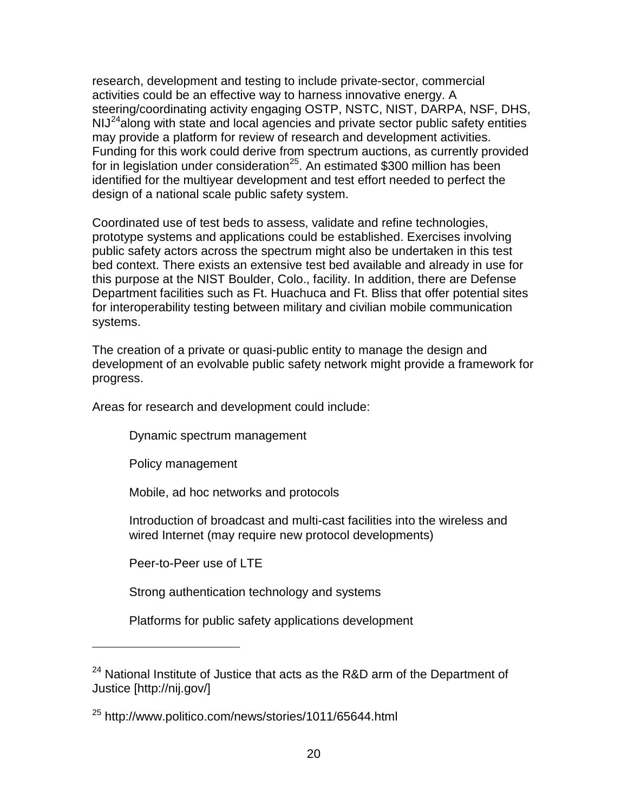research, development and testing to include private-sector, commercial activities could be an effective way to harness innovative energy. A steering/coordinating activity engaging OSTP, NSTC, NIST, DARPA, NSF, DHS,  $N1J<sup>24</sup>$  $N1J<sup>24</sup>$  $N1J<sup>24</sup>$ along with state and local agencies and private sector public safety entities may provide a platform for review of research and development activities. Funding for this work could derive from spectrum auctions, as currently provided for in legislation under consideration<sup>[25](#page-19-1)</sup>. An estimated \$300 million has been identified for the multiyear development and test effort needed to perfect the design of a national scale public safety system.

Coordinated use of test beds to assess, validate and refine technologies, prototype systems and applications could be established. Exercises involving public safety actors across the spectrum might also be undertaken in this test bed context. There exists an extensive test bed available and already in use for this purpose at the NIST Boulder, Colo., facility. In addition, there are Defense Department facilities such as Ft. Huachuca and Ft. Bliss that offer potential sites for interoperability testing between military and civilian mobile communication systems.

The creation of a private or quasi-public entity to manage the design and development of an evolvable public safety network might provide a framework for progress.

Areas for research and development could include:

Dynamic spectrum management

Policy management

Mobile, ad hoc networks and protocols

Introduction of broadcast and multi-cast facilities into the wireless and wired Internet (may require new protocol developments)

Peer-to-Peer use of LTE

 $\overline{a}$ 

Strong authentication technology and systems

Platforms for public safety applications development

<span id="page-19-0"></span><sup>&</sup>lt;sup>24</sup> National Institute of Justice that acts as the R&D arm of the Department of Justice [http://nij.gov/]

<span id="page-19-1"></span><sup>25</sup> http://www.politico.com/news/stories/1011/65644.html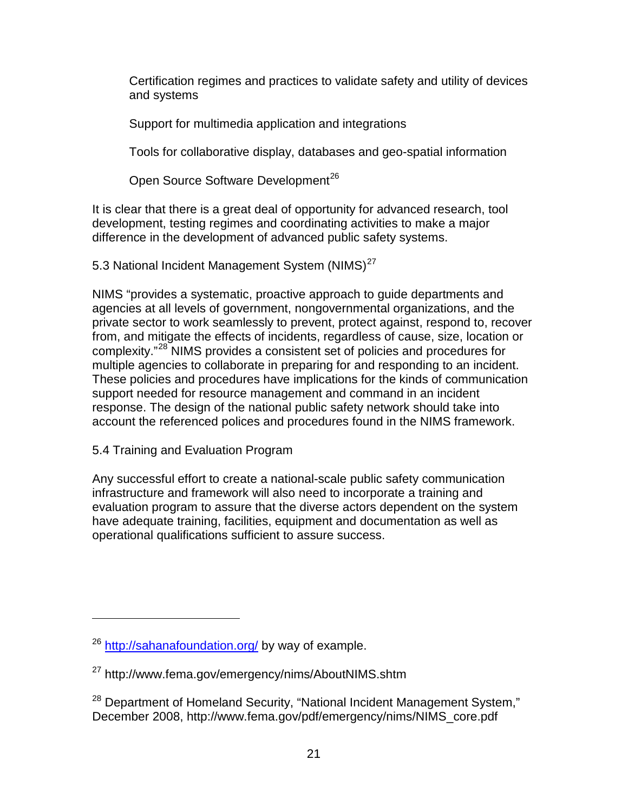Certification regimes and practices to validate safety and utility of devices and systems

Support for multimedia application and integrations

Tools for collaborative display, databases and geo-spatial information

Open Source Software Development<sup>[26](#page-20-0)</sup>

It is clear that there is a great deal of opportunity for advanced research, tool development, testing regimes and coordinating activities to make a major difference in the development of advanced public safety systems.

5.3 National Incident Management System (NIMS)<sup>[27](#page-20-1)</sup>

NIMS "provides a systematic, proactive approach to guide departments and agencies at all levels of government, nongovernmental organizations, and the private sector to work seamlessly to prevent, protect against, respond to, recover from, and mitigate the effects of incidents, regardless of cause, size, location or complexity."[28](#page-20-2) NIMS provides a consistent set of policies and procedures for multiple agencies to collaborate in preparing for and responding to an incident. These policies and procedures have implications for the kinds of communication support needed for resource management and command in an incident response. The design of the national public safety network should take into account the referenced polices and procedures found in the NIMS framework.

5.4 Training and Evaluation Program

 $\overline{a}$ 

Any successful effort to create a national-scale public safety communication infrastructure and framework will also need to incorporate a training and evaluation program to assure that the diverse actors dependent on the system have adequate training, facilities, equipment and documentation as well as operational qualifications sufficient to assure success.

<span id="page-20-0"></span><sup>&</sup>lt;sup>26</sup> <http://sahanafoundation.org/> by way of example.

<span id="page-20-1"></span><sup>27</sup> http://www.fema.gov/emergency/nims/AboutNIMS.shtm

<span id="page-20-2"></span><sup>&</sup>lt;sup>28</sup> Department of Homeland Security, "National Incident Management System," December 2008, http://www.fema.gov/pdf/emergency/nims/NIMS\_core.pdf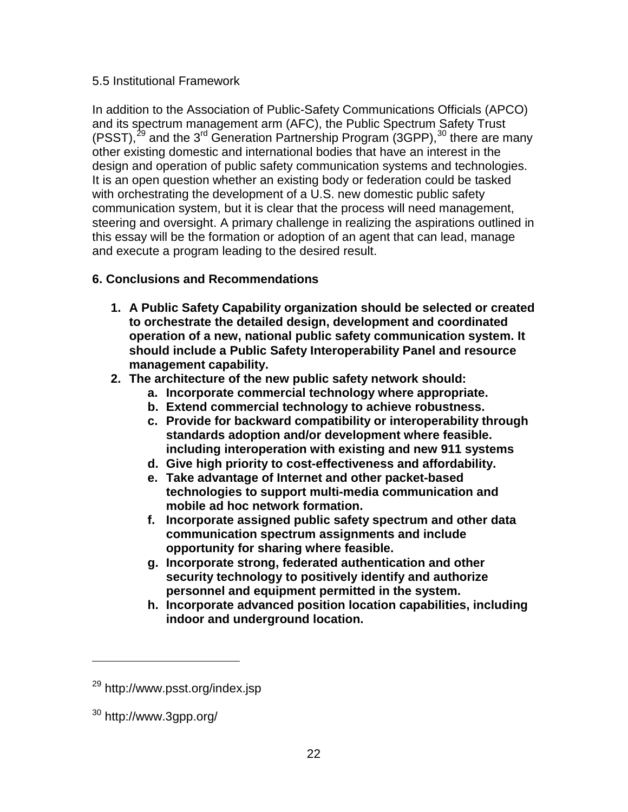## 5.5 Institutional Framework

In addition to the Association of Public-Safety Communications Officials (APCO) and its spectrum management arm (AFC), the Public Spectrum Safety Trust (PSST), $^{29}$  $^{29}$  $^{29}$  and the 3<sup>rd</sup> Generation Partnership Program (3GPP), $^{30}$  $^{30}$  $^{30}$  there are many other existing domestic and international bodies that have an interest in the design and operation of public safety communication systems and technologies. It is an open question whether an existing body or federation could be tasked with orchestrating the development of a U.S. new domestic public safety communication system, but it is clear that the process will need management, steering and oversight. A primary challenge in realizing the aspirations outlined in this essay will be the formation or adoption of an agent that can lead, manage and execute a program leading to the desired result.

# **6. Conclusions and Recommendations**

- **1. A Public Safety Capability organization should be selected or created to orchestrate the detailed design, development and coordinated operation of a new, national public safety communication system. It should include a Public Safety Interoperability Panel and resource management capability.**
- **2. The architecture of the new public safety network should:**
	- **a. Incorporate commercial technology where appropriate.**
	- **b. Extend commercial technology to achieve robustness.**
	- **c. Provide for backward compatibility or interoperability through standards adoption and/or development where feasible. including interoperation with existing and new 911 systems**
	- **d. Give high priority to cost-effectiveness and affordability.**
	- **e. Take advantage of Internet and other packet-based technologies to support multi-media communication and mobile ad hoc network formation.**
	- **f. Incorporate assigned public safety spectrum and other data communication spectrum assignments and include opportunity for sharing where feasible.**
	- **g. Incorporate strong, federated authentication and other security technology to positively identify and authorize personnel and equipment permitted in the system.**
	- **h. Incorporate advanced position location capabilities, including indoor and underground location.**

<span id="page-21-0"></span><sup>29</sup> http://www.psst.org/index.jsp

<span id="page-21-1"></span><sup>30</sup> http://www.3gpp.org/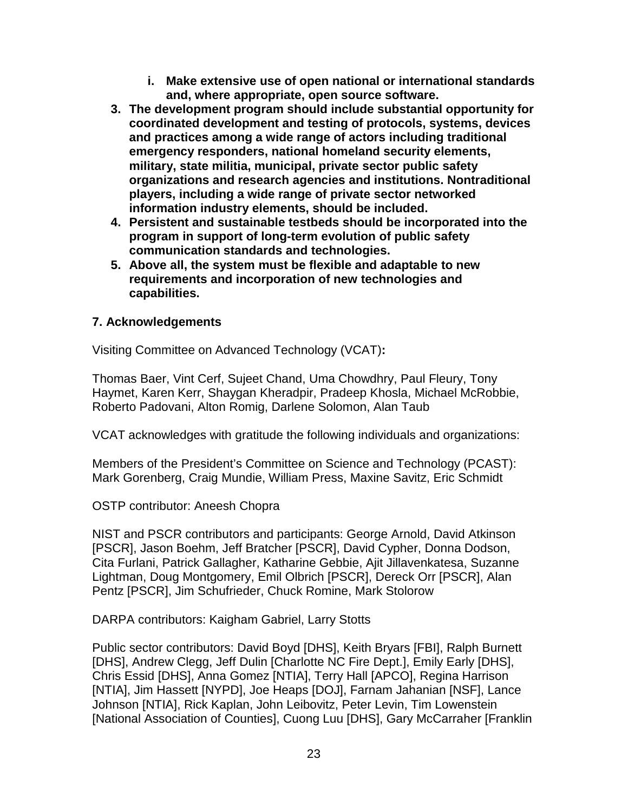- **i. Make extensive use of open national or international standards and, where appropriate, open source software.**
- **3. The development program should include substantial opportunity for coordinated development and testing of protocols, systems, devices and practices among a wide range of actors including traditional emergency responders, national homeland security elements, military, state militia, municipal, private sector public safety organizations and research agencies and institutions. Nontraditional players, including a wide range of private sector networked information industry elements, should be included.**
- **4. Persistent and sustainable testbeds should be incorporated into the program in support of long-term evolution of public safety communication standards and technologies.**
- **5. Above all, the system must be flexible and adaptable to new requirements and incorporation of new technologies and capabilities.**

# **7. Acknowledgements**

Visiting Committee on Advanced Technology (VCAT)**:**

Thomas Baer, Vint Cerf, Sujeet Chand, Uma Chowdhry, Paul Fleury, Tony Haymet, Karen Kerr, Shaygan Kheradpir, Pradeep Khosla, Michael McRobbie, Roberto Padovani, Alton Romig, Darlene Solomon, Alan Taub

VCAT acknowledges with gratitude the following individuals and organizations:

Members of the President's Committee on Science and Technology (PCAST): Mark Gorenberg, Craig Mundie, William Press, Maxine Savitz, Eric Schmidt

OSTP contributor: Aneesh Chopra

NIST and PSCR contributors and participants: George Arnold, David Atkinson [PSCR], Jason Boehm, Jeff Bratcher [PSCR], David Cypher, Donna Dodson, Cita Furlani, Patrick Gallagher, Katharine Gebbie, Ajit Jillavenkatesa, Suzanne Lightman, Doug Montgomery, Emil Olbrich [PSCR], Dereck Orr [PSCR], Alan Pentz [PSCR], Jim Schufrieder, Chuck Romine, Mark Stolorow

DARPA contributors: Kaigham Gabriel, Larry Stotts

Public sector contributors: David Boyd [DHS], Keith Bryars [FBI], Ralph Burnett [DHS], Andrew Clegg, Jeff Dulin [Charlotte NC Fire Dept.], Emily Early [DHS], Chris Essid [DHS], Anna Gomez [NTIA], Terry Hall [APCO], Regina Harrison [NTIA], Jim Hassett [NYPD], Joe Heaps [DOJ], Farnam Jahanian [NSF], Lance Johnson [NTIA], Rick Kaplan, John Leibovitz, Peter Levin, Tim Lowenstein [National Association of Counties], Cuong Luu [DHS], Gary McCarraher [Franklin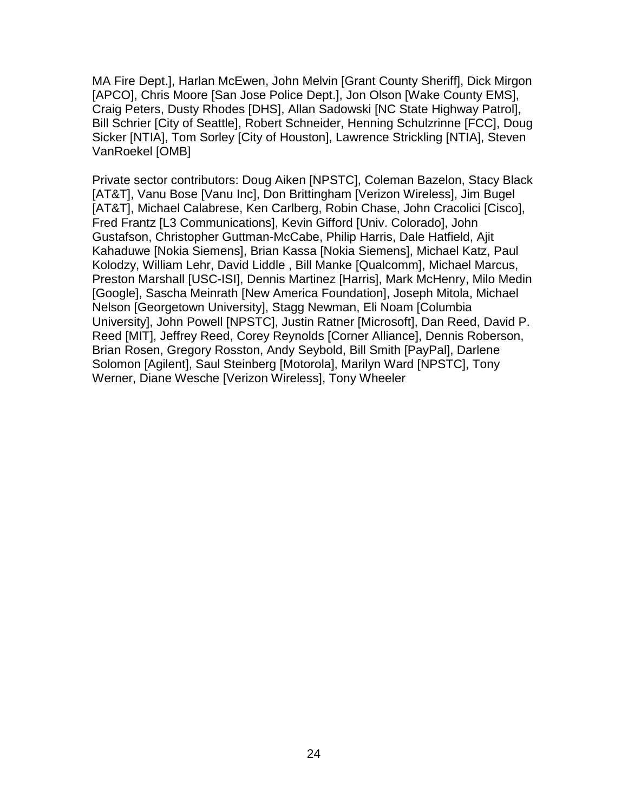MA Fire Dept.], Harlan McEwen, John Melvin [Grant County Sheriff], Dick Mirgon [APCO], Chris Moore [San Jose Police Dept.], Jon Olson [Wake County EMS], Craig Peters, Dusty Rhodes [DHS], Allan Sadowski [NC State Highway Patrol], Bill Schrier [City of Seattle], Robert Schneider, Henning Schulzrinne [FCC], Doug Sicker [NTIA], Tom Sorley [City of Houston], Lawrence Strickling [NTIA], Steven VanRoekel [OMB]

Private sector contributors: Doug Aiken [NPSTC], Coleman Bazelon, Stacy Black [AT&T], Vanu Bose [Vanu Inc], Don Brittingham [Verizon Wireless], Jim Bugel [AT&T], Michael Calabrese, Ken Carlberg, Robin Chase, John Cracolici [Cisco], Fred Frantz [L3 Communications], Kevin Gifford [Univ. Colorado], John Gustafson, Christopher Guttman-McCabe, Philip Harris, Dale Hatfield, Ajit Kahaduwe [Nokia Siemens], Brian Kassa [Nokia Siemens], Michael Katz, Paul Kolodzy, William Lehr, David Liddle , Bill Manke [Qualcomm], Michael Marcus, Preston Marshall [USC-ISI], Dennis Martinez [Harris], Mark McHenry, Milo Medin [Google], Sascha Meinrath [New America Foundation], Joseph Mitola, Michael Nelson [Georgetown University], Stagg Newman, Eli Noam [Columbia University], John Powell [NPSTC], Justin Ratner [Microsoft], Dan Reed, David P. Reed [MIT], Jeffrey Reed, Corey Reynolds [Corner Alliance], Dennis Roberson, Brian Rosen, Gregory Rosston, Andy Seybold, Bill Smith [PayPal], Darlene Solomon [Agilent], Saul Steinberg [Motorola], Marilyn Ward [NPSTC], Tony Werner, Diane Wesche [Verizon Wireless], Tony Wheeler